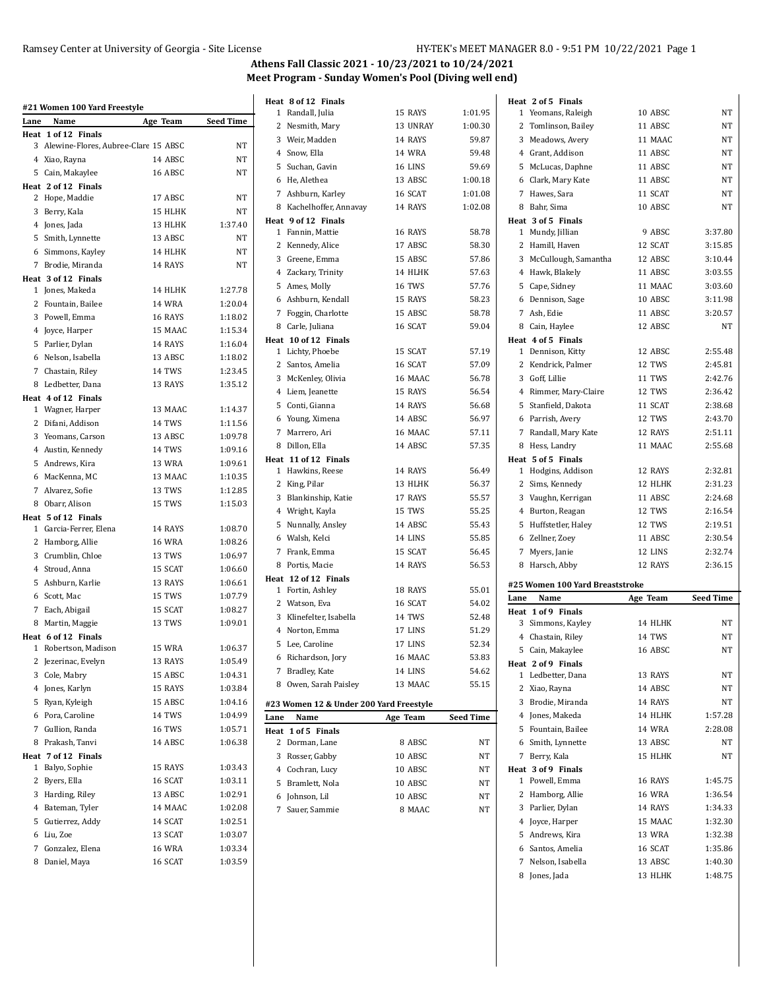$\overline{a}$ 

## **Athens Fall Classic 2021 - 10/23/2021 to 10/24/2021 Meet Program - Sunday Women's Pool (Diving well end)**

**Heat 8 of 12** 1 Randall,

| Lane           | Name                                   | Age Team         | <b>Seed Time</b>   |
|----------------|----------------------------------------|------------------|--------------------|
|                | Heat 1 of 12 Finals                    |                  |                    |
|                | 3 Alewine-Flores, Aubree-Clare 15 ABSC |                  | NT                 |
|                | 4 Xiao, Rayna                          | 14 ABSC          | <b>NT</b>          |
|                | 5 Cain, Makaylee                       | 16 ABSC          | <b>NT</b>          |
|                | Heat 2 of 12 Finals                    |                  |                    |
|                | 2 Hope, Maddie                         | 17 ABSC          | NT                 |
|                | 3 Berry, Kala                          | 15 HLHK          | NT                 |
|                | 4 Jones, Jada                          | 13 HLHK          | 1:37.40            |
|                | 5 Smith, Lynnette                      | 13 ABSC          | NT                 |
|                | 6 Simmons, Kayley                      | 14 HLHK          | <b>NT</b>          |
|                | 7 Brodie, Miranda                      | 14 RAYS          | <b>NT</b>          |
|                | Heat 3 of 12 Finals                    | 14 HLHK          | 1:27.78            |
|                | 1 Jones, Makeda                        | <b>14 WRA</b>    | 1:20.04            |
|                | 2 Fountain, Bailee<br>3 Powell, Emma   | 16 RAYS          | 1:18.02            |
|                | 4 Joyce, Harper                        | 15 MAAC          | 1:15.34            |
|                | 5 Parlier, Dylan                       | 14 RAYS          | 1:16.04            |
|                | 6 Nelson, Isabella                     | 13 ABSC          | 1:18.02            |
|                | 7 Chastain, Riley                      | <b>14 TWS</b>    | 1:23.45            |
|                | 8 Ledbetter, Dana                      | 13 RAYS          | 1:35.12            |
|                | Heat 4 of 12 Finals                    |                  |                    |
|                | 1 Wagner, Harper                       | 13 MAAC          | 1:14.37            |
|                | 2 Difani, Addison                      | 14 TWS           | 1:11.56            |
|                | 3 Yeomans, Carson                      | 13 ABSC          | 1:09.78            |
|                | 4 Austin, Kennedy                      | 14 TWS           | 1:09.16            |
|                | 5 Andrews, Kira                        | 13 WRA           | 1:09.61            |
|                | 6 MacKenna, MC                         | 13 MAAC          | 1:10.35            |
|                | 7 Alvarez, Sofie                       | 13 TWS           | 1:12.85            |
|                | 8 Obarr, Alison                        | 15 TWS           | 1:15.03            |
|                | Heat 5 of 12 Finals                    |                  |                    |
|                | 1 Garcia-Ferrer, Elena                 | 14 RAYS          | 1:08.70            |
|                | 2 Hamborg, Allie                       | <b>16 WRA</b>    | 1:08.26            |
|                | 3 Crumblin, Chloe                      | 13 TWS           | 1:06.97            |
|                | 4 Stroud, Anna                         | 15 SCAT          | 1:06.60            |
|                | 5 Ashburn, Karlie                      | 13 RAYS          | 1:06.61            |
|                | 6 Scott, Mac                           | 15 TWS           | 1:07.79            |
|                | 7 Each, Abigail                        | 15 SCAT          | 1:08.27            |
|                | 8 Martin, Maggie                       | 13 TWS           | 1:09.01            |
|                | Heat 6 of 12 Finals                    |                  |                    |
|                | 1 Robertson, Madison                   | 15 WRA           | 1:06.37            |
| 2              | Jezerinac, Evelyn                      | 13 RAYS          | 1:05.49            |
|                | 3 Cole, Mabry                          | 15 ABSC          | 1:04.31            |
|                | 4 Jones, Karlyn                        | 15 RAYS          | 1:03.84            |
|                | 5 Ryan, Kyleigh                        | 15 ABSC          | 1:04.16<br>1:04.99 |
|                | 6 Pora, Caroline                       | 14 TWS<br>16 TWS |                    |
| 7              | Gullion, Randa                         |                  | 1:05.71            |
| 8              | Prakash, Tanvi<br>Heat 7 of 12 Finals  | 14 ABSC          | 1:06.38            |
| 1              | Balyo, Sophie                          | 15 RAYS          | 1:03.43            |
| 2              | Byers, Ella                            | 16 SCAT          | 1:03.11            |
| 3              | Harding, Riley                         | 13 ABSC          | 1:02.91            |
| $\overline{4}$ | Bateman, Tyler                         | 14 MAAC          | 1:02.08            |
|                | 5 Gutierrez, Addy                      | 14 SCAT          | 1:02.51            |
| 6              | Liu, Zoe                               | 13 SCAT          | 1:03.07            |
| 7              | Gonzalez, Elena                        | <b>16 WRA</b>    | 1:03.34            |
| 8              | Daniel, Maya                           | 16 SCAT          | 1:03.59            |
|                |                                        |                  |                    |

|      | Heat 8 of 12 Finals                     |               |                  |      | Heat 2 of 5 Finals              |               |                  |
|------|-----------------------------------------|---------------|------------------|------|---------------------------------|---------------|------------------|
|      | 1 Randall, Julia                        | 15 RAYS       | 1:01.95          |      | 1 Yeomans, Raleigh              | 10 ABSC       | NΤ               |
|      | 2 Nesmith, Mary                         | 13 UNRAY      | 1:00.30          |      | 2 Tomlinson, Bailey             | 11 ABSC       | NT               |
|      | 3 Weir, Madden                          | 14 RAYS       | 59.87            |      | 3 Meadows, Avery                | 11 MAAC       | NT               |
|      | 4 Snow, Ella                            | 14 WRA        | 59.48            |      | 4 Grant, Addison                | 11 ABSC       | NT               |
|      | 5 Suchan, Gavin                         | 16 LINS       | 59.69            |      | 5 McLucas, Daphne               | 11 ABSC       | NT               |
|      | 6 He, Alethea                           | 13 ABSC       | 1:00.18          |      | 6 Clark, Mary Kate              | 11 ABSC       | NT               |
|      | 7 Ashburn, Karley                       | 16 SCAT       | 1:01.08          |      | 7 Hawes, Sara                   | 11 SCAT       | NT               |
|      | 8 Kachelhoffer, Annavay                 | 14 RAYS       | 1:02.08          |      | 8 Bahr, Sima                    | 10 ABSC       | NT               |
|      | Heat 9 of 12 Finals                     |               |                  |      | Heat 3 of 5 Finals              |               |                  |
|      | 1 Fannin, Mattie                        | 16 RAYS       | 58.78            |      | 1 Mundy, Jillian                | 9 ABSC        | 3:37.80          |
|      | 2 Kennedy, Alice                        | 17 ABSC       | 58.30            |      | 2 Hamill, Haven                 | 12 SCAT       | 3:15.85          |
|      | 3 Greene, Emma                          | 15 ABSC       | 57.86            |      | 3 McCullough, Samantha          | 12 ABSC       | 3:10.44          |
|      | 4 Zackary, Trinity                      | 14 HLHK       | 57.63            |      | 4 Hawk, Blakely                 | 11 ABSC       | 3:03.55          |
|      | 5 Ames, Molly                           | <b>16 TWS</b> | 57.76            |      | 5 Cape, Sidney                  | 11 MAAC       | 3:03.60          |
|      | 6 Ashburn, Kendall                      | 15 RAYS       | 58.23            |      | 6 Dennison, Sage                | 10 ABSC       | 3:11.98          |
|      | 7 Foggin, Charlotte                     | 15 ABSC       | 58.78            |      | 7 Ash, Edie                     | 11 ABSC       | 3:20.57          |
|      | 8 Carle, Juliana                        | 16 SCAT       | 59.04            |      | 8 Cain, Haylee                  | 12 ABSC       | NT               |
|      | Heat 10 of 12 Finals                    |               |                  |      | Heat 4 of 5 Finals              |               |                  |
|      | 1 Lichty, Phoebe                        | 15 SCAT       | 57.19            |      | 1 Dennison, Kitty               | 12 ABSC       | 2:55.48          |
|      | 2 Santos, Amelia                        | 16 SCAT       | 57.09            |      | 2 Kendrick, Palmer              | 12 TWS        | 2:45.81          |
|      | 3 McKenley, Olivia                      | 16 MAAC       | 56.78            |      | 3 Goff, Lillie                  | 11 TWS        | 2:42.76          |
|      | 4 Liem, Jeanette                        | 15 RAYS       | 56.54            |      | 4 Rimmer, Mary-Claire           | 12 TWS        | 2:36.42          |
|      | 5 Conti, Gianna                         | 14 RAYS       | 56.68            |      | 5 Stanfield, Dakota             | 11 SCAT       | 2:38.68          |
|      | 6 Young, Ximena                         | 14 ABSC       | 56.97            |      | 6 Parrish, Avery                | 12 TWS        | 2:43.70          |
|      | 7 Marrero, Ari                          | 16 MAAC       | 57.11            |      | 7 Randall, Mary Kate            | 12 RAYS       | 2:51.11          |
|      | 8 Dillon, Ella                          | 14 ABSC       | 57.35            |      | 8 Hess, Landry                  | 11 MAAC       | 2:55.68          |
|      | Heat 11 of 12 Finals                    |               |                  |      | Heat 5 of 5 Finals              |               |                  |
|      | 1 Hawkins, Reese                        | 14 RAYS       | 56.49            |      | 1 Hodgins, Addison              | 12 RAYS       | 2:32.81          |
|      | 2 King, Pilar                           | 13 HLHK       | 56.37            |      | 2 Sims, Kennedy                 | 12 HLHK       | 2:31.23          |
|      | 3 Blankinship, Katie                    | 17 RAYS       | 55.57            |      | 3 Vaughn, Kerrigan              | 11 ABSC       | 2:24.68          |
|      | 4 Wright, Kayla                         | 15 TWS        | 55.25            |      | 4 Burton, Reagan                | 12 TWS        | 2:16.54          |
|      | 5 Nunnally, Ansley                      | 14 ABSC       | 55.43            |      | 5 Huffstetler, Haley            | 12 TWS        | 2:19.51          |
|      | 6 Walsh, Kelci                          | 14 LINS       | 55.85            |      | 6 Zellner, Zoey                 | 11 ABSC       | 2:30.54          |
|      | 7 Frank, Emma                           | 15 SCAT       | 56.45            |      | 7 Myers, Janie                  | 12 LINS       | 2:32.74          |
|      | 8 Portis, Macie                         | 14 RAYS       | 56.53            |      | 8 Harsch, Abby                  | 12 RAYS       | 2:36.15          |
|      | Heat 12 of 12 Finals                    |               |                  |      |                                 |               |                  |
|      | 1 Fortin, Ashley                        | 18 RAYS       | 55.01            |      | #25 Women 100 Yard Breaststroke |               |                  |
|      | 2 Watson, Eva                           | 16 SCAT       | 54.02            | Lane | Name                            | Age Team      | <b>Seed Time</b> |
|      | 3 Klinefelter, Isabella                 | 14 TWS        | 52.48            |      | Heat 1 of 9 Finals              |               |                  |
|      | 4 Norton, Emma                          | 17 LINS       | 51.29            |      | 3 Simmons, Kayley               | 14 HLHK       | NΤ               |
|      | 5 Lee, Caroline                         | 17 LINS       | 52.34            |      | 4 Chastain, Riley               | 14 TWS        | NΤ               |
|      | 6 Richardson, Jory                      | 16 MAAC       | 53.83            |      | 5 Cain, Makaylee                | 16 ABSC       | NT               |
|      | 7 Bradley, Kate                         | 14 LINS       | 54.62            |      | Heat 2 of 9 Finals              |               |                  |
|      | 8 Owen, Sarah Paisley                   | 13 MAAC       | 55.15            |      | 1 Ledbetter, Dana               | 13 RAYS       | NΤ               |
|      |                                         |               |                  |      | 2 Xiao, Rayna                   | 14 ABSC       | NΤ               |
|      | #23 Women 12 & Under 200 Yard Freestyle |               |                  |      | 3 Brodie, Miranda               | 14 RAYS       | NT               |
| Lane | Name                                    | Age Team      | <b>Seed Time</b> |      | 4 Jones, Makeda                 | 14 HLHK       | 1:57.28          |
|      | Heat 1 of 5 Finals                      |               |                  |      | 5 Fountain, Bailee              | 14 WRA        | 2:28.08          |
|      | 2 Dorman, Lane                          | 8 ABSC        | NΤ               |      | 6 Smith, Lynnette               | 13 ABSC       | NΤ               |
|      | 3 Rosser, Gabby                         | 10 ABSC       | NΤ               |      | 7 Berry, Kala                   | 15 HLHK       | NΤ               |
|      | 4 Cochran, Lucy                         | 10 ABSC       | NΤ               |      | Heat 3 of 9 Finals              |               |                  |
|      | 5 Bramlett, Nola                        | 10 ABSC       | NΤ               |      | 1 Powell, Emma                  | 16 RAYS       | 1:45.75          |
|      | 6 Johnson, Lil                          | 10 ABSC       | NΤ               |      | 2 Hamborg, Allie                | <b>16 WRA</b> | 1:36.54          |
|      | 7 Sauer, Sammie                         | 8 MAAC        | NΤ               |      | 3 Parlier, Dylan                | 14 RAYS       | 1:34.33          |
|      |                                         |               |                  |      | 4 Joyce, Harper                 | 15 MAAC       | 1:32.30          |
|      |                                         |               |                  |      |                                 |               |                  |
|      |                                         |               |                  |      | 5 Andrews, Kira                 | 13 WRA        | 1:32.38          |
|      |                                         |               |                  |      | 6 Santos, Amelia                | 16 SCAT       | 1:35.86          |
|      |                                         |               |                  |      | 7 Nelson, Isabella              | 13 ABSC       | 1:40.30          |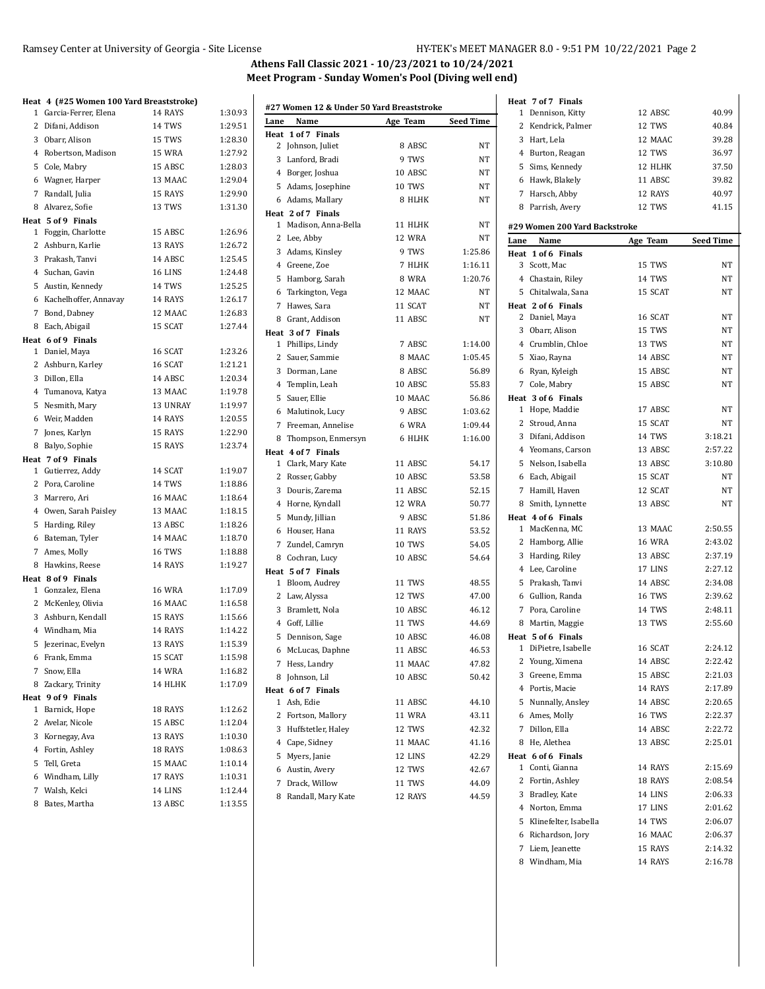#### Ramsey Center at University of Georgia - Site License HY-TEK's MEET MANAGER 8.0 - 9:51 PM 10/22/2021 Page 2

# **Athens Fall Classic 2021 - 10/23/2021 to 10/24/2021 Meet Program - Sunday Women's Pool (Diving well end)**

## **Heat 4 (#25 Women 100 Yard Breaststroke)**

| 1              | Garcia-Ferrer, Elena                      | 14 RAYS       | 1:30.93 |
|----------------|-------------------------------------------|---------------|---------|
|                | 2 Difani, Addison                         | 14 TWS        | 1:29.51 |
|                | 3 Obarr, Alison                           | 15 TWS        | 1:28.30 |
|                | 4 Robertson, Madison                      | 15 WRA        | 1:27.92 |
|                |                                           | 15 ABSC       | 1:28.03 |
|                | 5 Cole, Mabry                             | 13 MAAC       |         |
|                | 6 Wagner, Harper                          |               | 1:29.04 |
|                | 7 Randall, Julia                          | 15 RAYS       | 1:29.90 |
|                | 8 Alvarez, Sofie                          | 13 TWS        | 1:31.30 |
|                | Heat 5 of 9 Finals<br>1 Foggin, Charlotte | 15 ABSC       | 1:26.96 |
|                |                                           | 13 RAYS       | 1:26.72 |
|                | 2 Ashburn, Karlie                         | 14 ABSC       | 1:25.45 |
|                | 3 Prakash, Tanvi                          | 16 LINS       | 1:24.48 |
|                | 4 Suchan, Gavin                           |               |         |
|                | 5 Austin, Kennedy                         | 14 TWS        | 1:25.25 |
|                | 6 Kachelhoffer, Annavay                   | 14 RAYS       | 1:26.17 |
| 7              | Bond, Dabney                              | 12 MAAC       | 1:26.83 |
|                | 8 Each, Abigail                           | 15 SCAT       | 1:27.44 |
|                | Heat 6 of 9 Finals                        | 16 SCAT       |         |
|                | 1 Daniel, Maya                            |               | 1:23.26 |
|                | 2 Ashburn, Karley                         | 16 SCAT       | 1:21.21 |
|                | 3 Dillon, Ella                            | 14 ABSC       | 1:20.34 |
|                | 4 Tumanova, Katya                         | 13 MAAC       | 1:19.78 |
|                | 5 Nesmith, Mary                           | 13 UNRAY      | 1:19.97 |
|                | 6 Weir, Madden                            | 14 RAYS       | 1:20.55 |
| 7              | Jones, Karlyn                             | 15 RAYS       | 1:22.90 |
|                | 8 Balyo, Sophie                           | 15 RAYS       | 1:23.74 |
|                | Heat 7 of 9 Finals<br>1 Gutierrez, Addy   | 14 SCAT       | 1:19.07 |
|                | 2 Pora, Caroline                          | 14 TWS        | 1:18.86 |
|                |                                           | 16 MAAC       | 1:18.64 |
|                | 3 Marrero, Ari                            | 13 MAAC       |         |
|                | 4 Owen, Sarah Paisley                     |               | 1:18.15 |
|                | 5 Harding, Riley                          | 13 ABSC       | 1:18.26 |
|                | 6 Bateman, Tyler                          | 14 MAAC       | 1:18.70 |
| 7              | Ames, Molly                               | <b>16 TWS</b> | 1:18.88 |
|                | 8 Hawkins, Reese                          | 14 RAYS       | 1:19.27 |
|                | Heat 8 of 9 Finals<br>1 Gonzalez, Elena   | <b>16 WRA</b> | 1:17.09 |
|                | 2 McKenley, Olivia                        | 16 MAAC       | 1:16.58 |
|                | 3 Ashburn, Kendall                        | 15 RAYS       | 1:15.66 |
|                |                                           | 14 RAYS       | 1:14.22 |
|                | 4 Windham, Mia                            | 13 RAYS       | 1:15.39 |
|                | 5 Jezerinac, Evelyn<br>6 Frank. Emma      |               |         |
|                |                                           | 15 SCAT       | 1:15.98 |
| 7              | Snow, Ella                                | <b>14 WRA</b> | 1:16.82 |
| 8              | Zackary, Trinity                          | 14 HLHK       | 1:17.09 |
|                | Heat 9 of 9 Finals                        |               |         |
| 1              | Barnick, Hope                             | 18 RAYS       | 1:12.62 |
| $\overline{2}$ | Avelar, Nicole                            | 15 ABSC       | 1:12.04 |
|                | 3 Kornegay, Ava                           | 13 RAYS       | 1:10.30 |
|                | 4 Fortin, Ashley                          | 18 RAYS       | 1:08.63 |
| 5              | Tell, Greta                               | 15 MAAC       | 1:10.14 |
|                | 6 Windham, Lilly                          | 17 RAYS       | 1:10.31 |
| 7              | Walsh, Kelci                              | 14 LINS       | 1:12.44 |
| 8              | Bates, Martha                             | 13 ABSC       | 1:13.55 |

|      | #27 Women 12 & Under 50 Yard Breaststroke |               |                    | $\mathbf{1}$ | Heat 7 of 7 Finals<br>Dennison, Kitty |
|------|-------------------------------------------|---------------|--------------------|--------------|---------------------------------------|
| Lane | Name                                      | Age Team      | Seed Time          | 2            | Kendrick, Palm                        |
|      | Heat 1 of 7 Finals                        |               |                    |              |                                       |
|      | 2 Johnson, Juliet                         | 8 ABSC        | NΤ                 |              | 3 Hart, Lela                          |
|      | 3 Lanford, Bradi                          | 9 TWS         | NΤ                 |              | 4 Burton, Reagan                      |
|      | 4 Borger, Joshua                          | 10 ABSC       | NΤ                 |              | 5 Sims, Kennedy                       |
|      | 5 Adams, Josephine                        | 10 TWS        | NΤ                 |              | 6 Hawk, Blakely                       |
|      | 6 Adams, Mallary                          | 8 HLHK        | NΤ                 | 7            | Harsch, Abby                          |
|      | Heat 2 of 7 Finals                        |               |                    |              | 8 Parrish, Avery                      |
|      | 1 Madison, Anna-Bella                     | 11 HLHK       | NT                 |              | #29 Women 200 Yar                     |
|      | 2 Lee, Abby                               | 12 WRA        | NΤ                 | Lane         | Name                                  |
|      | 3 Adams, Kinsley                          | 9 TWS         | 1:25.86            |              | Heat 1 of 6 Finals                    |
|      | 4 Greene, Zoe                             | 7 HLHK        | 1:16.11            |              | 3 Scott, Mac                          |
|      | 5 Hamborg, Sarah                          | 8 WRA         | 1:20.76            |              | 4 Chastain, Riley                     |
|      | 6 Tarkington, Vega                        | 12 MAAC       | NT                 |              | 5 Chitalwala, San                     |
|      | 7 Hawes, Sara                             | 11 SCAT       | NT                 |              | Heat 2 of 6 Finals                    |
|      | 8 Grant, Addison                          | 11 ABSC       | NΤ                 |              | 2 Daniel, Maya                        |
|      | Heat 3 of 7 Finals                        |               |                    |              | 3 Obarr, Alison                       |
|      | 1 Phillips, Lindy                         | 7 ABSC        | 1:14.00            |              | 4 Crumblin, Chlo                      |
|      | 2 Sauer, Sammie                           | 8 MAAC        | 1:05.45            |              | 5 Xiao, Rayna                         |
|      | 3 Dorman, Lane                            | 8 ABSC        | 56.89              |              | 6 Ryan, Kyleigh                       |
|      | 4 Templin, Leah                           | 10 ABSC       | 55.83              |              | 7 Cole, Mabry                         |
|      | 5 Sauer, Ellie                            | 10 MAAC       | 56.86              |              | Heat 3 of 6 Finals                    |
|      | 6 Malutinok, Lucy                         | 9 ABSC        | 1:03.62            |              | 1 Hope, Maddie                        |
|      | 7 Freeman, Annelise                       | 6 WRA         |                    |              | 2 Stroud, Anna                        |
|      |                                           |               | 1:09.44<br>1:16.00 |              | 3 Difani, Addison                     |
| 8    | Thompson, Enmersyn                        | 6 HLHK        |                    |              | 4 Yeomans, Carso                      |
|      | Heat 4 of 7 Finals<br>1 Clark, Mary Kate  | 11 ABSC       | 54.17              |              | 5 Nelson, Isabella                    |
|      |                                           | 10 ABSC       | 53.58              |              |                                       |
|      | 2 Rosser, Gabby                           |               |                    |              | 6 Each, Abigail                       |
|      | 3 Douris, Zarema                          | 11 ABSC       | 52.15              |              | 7 Hamill, Haven                       |
|      | 4 Horne, Kyndall                          | 12 WRA        | 50.77              |              | 8 Smith, Lynnette                     |
|      | 5 Mundy, Jillian                          | 9 ABSC        | 51.86              |              | Heat 4 of 6 Finals<br>1 MacKenna, MC  |
|      | 6 Houser, Hana                            | 11 RAYS       | 53.52              |              |                                       |
| 7    | Zundel, Camryn                            | <b>10 TWS</b> | 54.05              |              | 2 Hamborg, Allie                      |
|      | 8 Cochran, Lucy                           | 10 ABSC       | 54.64              |              | 3 Harding, Riley                      |
|      | Heat 5 of 7 Finals                        |               |                    |              | 4 Lee, Caroline                       |
|      | 1 Bloom, Audrey                           | 11 TWS        | 48.55              |              | 5 Prakash, Tanvi                      |
|      | 2 Law, Alyssa                             | 12 TWS        | 47.00              |              | 6 Gullion, Randa                      |
|      | 3 Bramlett, Nola                          | 10 ABSC       | 46.12              |              | 7 Pora, Caroline                      |
|      | 4 Goff, Lillie                            | 11 TWS        | 44.69              |              | 8 Martin, Maggie                      |
|      | 5 Dennison, Sage                          | 10 ABSC       | 46.08              |              | Heat 5 of 6 Finals                    |
|      | 6 McLucas, Daphne                         | 11 ABSC       | 46.53              |              | 1 DiPietre, Isabel                    |
| 7    | Hess, Landry                              | 11 MAAC       | 47.82              |              | 2 Young, Ximena                       |
|      | 8 Johnson, Lil                            | 10 ABSC       | 50.42              | 3            | Greene, Emma                          |
|      | Heat 6 of 7 Finals                        |               |                    |              | 4 Portis, Macie                       |
|      | 1 Ash, Edie                               | 11 ABSC       | 44.10              |              | 5 Nunnally, Ansle                     |
|      | 2 Fortson, Mallory                        | 11 WRA        | 43.11              |              | 6 Ames, Molly                         |
|      | 3 Huffstetler, Haley                      | 12 TWS        | 42.32              |              | 7 Dillon, Ella                        |
|      | 4 Cape, Sidney                            | 11 MAAC       | 41.16              |              | 8 He, Alethea                         |
|      | 5 Myers, Janie                            | 12 LINS       | 42.29              |              | Heat 6 of 6 Finals                    |
|      | 6 Austin, Avery                           | 12 TWS        | 42.67              |              | 1 Conti, Gianna                       |
| 7    | Drack, Willow                             | 11 TWS        | 44.09              |              | 2 Fortin, Ashley                      |
|      | 8 Randall, Mary Kate                      | 12 RAYS       | 44.59              |              | 3 Bradley, Kate                       |
|      |                                           |               |                    |              | 4 Norton Emma                         |

| 1    | Dennison, Kitty                        | 12 ABSC       | 40.99              |
|------|----------------------------------------|---------------|--------------------|
| 2    | Kendrick, Palmer                       | 12 TWS        | 40.84              |
|      | 3 Hart, Lela                           | 12 MAAC       | 39.28              |
|      | 4 Burton, Reagan                       | 12 TWS        | 36.97              |
|      | 5 Sims, Kennedy                        | 12 HLHK       | 37.50              |
|      | 6 Hawk, Blakely                        | 11 ABSC       | 39.82              |
| 7    | Harsch, Abby                           | 12 RAYS       | 40.97              |
|      | 8 Parrish, Avery                       | 12 TWS        | 41.15              |
|      |                                        |               |                    |
|      | #29 Women 200 Yard Backstroke          |               |                    |
| Lane | Name                                   | Age Team      | <b>Seed Time</b>   |
|      | Heat 1 of 6 Finals                     |               |                    |
| 3    | Scott, Mac                             | 15 TWS        | NT                 |
|      | 4 Chastain, Riley                      | 14 TWS        | NΤ                 |
|      | 5 Chitalwala, Sana                     | 15 SCAT       | NΤ                 |
|      | Heat 2 of 6 Finals                     |               |                    |
|      | 2 Daniel, Maya                         | 16 SCAT       | NΤ                 |
|      | 3 Obarr, Alison                        | 15 TWS        | NΤ                 |
|      | 4 Crumblin, Chloe                      | 13 TWS        | NΤ                 |
|      | 5 Xiao, Rayna                          | 14 ABSC       | NT                 |
|      | 6 Ryan, Kyleigh                        | 15 ABSC       | NΤ                 |
|      | 7 Cole, Mabry                          | 15 ABSC       | NT                 |
|      | Heat 3 of 6 Finals                     |               |                    |
|      | 1 Hope, Maddie                         | 17 ABSC       | NT                 |
|      | 2 Stroud, Anna                         | 15 SCAT       | NΤ                 |
|      | 3 Difani, Addison                      | 14 TWS        | 3:18.21            |
|      | 4 Yeomans, Carson                      | 13 ABSC       | 2:57.22            |
|      | 5 Nelson, Isabella                     | 13 ABSC       | 3:10.80            |
|      | 6 Each, Abigail                        | 15 SCAT       | NΤ                 |
|      | 7 Hamill, Haven                        | 12 SCAT       | NΤ                 |
|      | 8 Smith, Lynnette                      | 13 ABSC       | NT                 |
|      | Heat 4 of 6 Finals<br>1 MacKenna, MC   | 13 MAAC       | 2:50.55            |
|      | 2 Hamborg, Allie                       | <b>16 WRA</b> | 2:43.02            |
|      | 3 Harding, Riley                       | 13 ABSC       | 2:37.19            |
|      |                                        | 17 LINS       | 2:27.12            |
|      | 4 Lee, Caroline                        | 14 ABSC       |                    |
|      | 5 Prakash, Tanvi<br>6 Gullion, Randa   | <b>16 TWS</b> | 2:34.08<br>2:39.62 |
|      | 7 Pora, Caroline                       | 14 TWS        | 2:48.11            |
|      |                                        | 13 TWS        | 2:55.60            |
|      | 8 Martin, Maggie<br>Heat 5 of 6 Finals |               |                    |
|      | 1 DiPietre, Isabelle                   | 16 SCAT       | 2:24.12            |
| 2    | Young, Ximena                          | 14 ABSC       | 2:22.42            |
|      | 3 Greene, Emma                         | 15 ABSC       | 2:21.03            |
|      | 4 Portis, Macie                        | 14 RAYS       | 2:17.89            |
|      | 5 Nunnally, Ansley                     | 14 ABSC       | 2:20.65            |
|      | 6 Ames, Molly                          | <b>16 TWS</b> | 2:22.37            |
|      | 7 Dillon, Ella                         | 14 ABSC       | 2:22.72            |
|      | 8 He, Alethea                          | 13 ABSC       | 2:25.01            |
|      | Heat 6 of 6 Finals                     |               |                    |
| 1    | Conti, Gianna                          | 14 RAYS       | 2:15.69            |
|      | 2 Fortin, Ashley                       | 18 RAYS       | 2:08.54            |
|      | 3 Bradley, Kate                        | 14 LINS       | 2:06.33            |
|      | 4 Norton, Emma                         | 17 LINS       | 2:01.62            |
|      | 5 Klinefelter, Isabella                | 14 TWS        | 2:06.07            |
|      | 6 Richardson, Jory                     | 16 MAAC       | 2:06.37            |
|      | 7 Liem, Jeanette                       | 15 RAYS       | 2:14.32            |
|      | 8 Windham. Mia                         | 14 RAYS       | 2:16.78            |
|      |                                        |               |                    |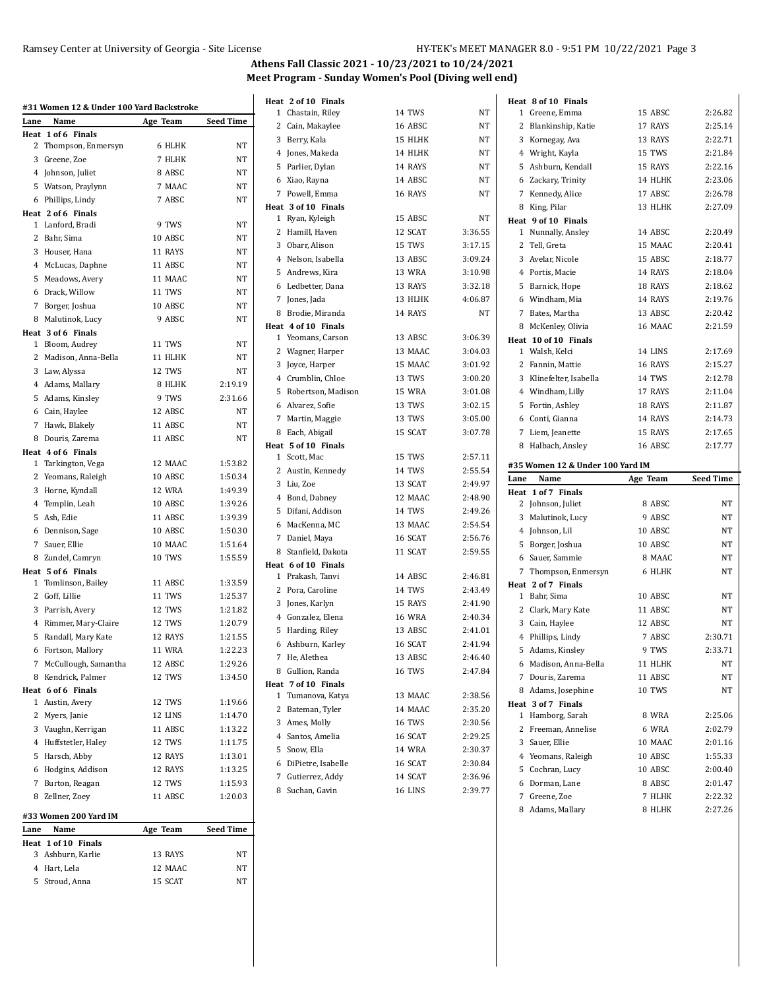## **Athens Fall Classic 2021 - 10/23/2021 to 10/24/2021 Meet Program - Sunday Women's Pool (Diving well end)**

| #31 Women 12 & Under 100 Yard Backstroke |                        |          |                  |  |  |  |  |
|------------------------------------------|------------------------|----------|------------------|--|--|--|--|
| Lane                                     | Name                   | Age Team | <b>Seed Time</b> |  |  |  |  |
| Heat                                     | 1 of 6 Finals          |          |                  |  |  |  |  |
| 2                                        | Thompson, Enmersyn     | 6 HLHK   | NΤ               |  |  |  |  |
| 3                                        | Greene, Zoe            | 7 HLHK   | NT               |  |  |  |  |
|                                          | 4 Johnson, Juliet      | 8 ABSC   | NT               |  |  |  |  |
| 5                                        | Watson, Praylynn       | 7 MAAC   | NT               |  |  |  |  |
| 6                                        | Phillips, Lindy        | 7 ABSC   | NT               |  |  |  |  |
|                                          | Heat 2 of 6 Finals     |          |                  |  |  |  |  |
| 1                                        | Lanford. Bradi         | 9 TWS    | NT               |  |  |  |  |
| 2                                        | Bahr, Sima             | 10 ABSC  | NT               |  |  |  |  |
| 3                                        | Houser, Hana           | 11 RAYS  | NT               |  |  |  |  |
|                                          | 4 McLucas, Daphne      | 11 ABSC  | <b>NT</b>        |  |  |  |  |
| 5                                        | Meadows, Avery         | 11 MAAC  | NT               |  |  |  |  |
| 6                                        | Drack, Willow          | 11 TWS   | NT               |  |  |  |  |
| 7                                        | Borger, Joshua         | 10 ABSC  | NT               |  |  |  |  |
| 8                                        | Malutinok, Lucy        | 9 ABSC   | NT               |  |  |  |  |
|                                          | Heat 3 of 6 Finals     |          |                  |  |  |  |  |
| 1                                        | Bloom, Audrey          | 11 TWS   | NT               |  |  |  |  |
| 2                                        | Madison, Anna-Bella    | 11 HLHK  | NT               |  |  |  |  |
|                                          | 3 Law, Alyssa          | 12 TWS   | NT               |  |  |  |  |
|                                          | 4 Adams, Mallary       | 8 HLHK   | 2:19.19          |  |  |  |  |
| 5                                        | Adams, Kinsley         | 9 TWS    | 2:31.66          |  |  |  |  |
|                                          | 6 Cain, Haylee         | 12 ABSC  | NT               |  |  |  |  |
| 7                                        | Hawk, Blakely          | 11 ABSC  | NT               |  |  |  |  |
| 8                                        | Douris, Zarema         | 11 ABSC  | <b>NT</b>        |  |  |  |  |
|                                          | Heat 4 of 6 Finals     |          |                  |  |  |  |  |
| 1                                        | Tarkington, Vega       | 12 MAAC  | 1:53.82          |  |  |  |  |
| 2                                        | Yeomans, Raleigh       | 10 ABSC  | 1:50.34          |  |  |  |  |
| 3                                        | Horne, Kyndall         | 12 WRA   | 1:49.39          |  |  |  |  |
|                                          | 4 Templin, Leah        | 10 ABSC  | 1:39.26          |  |  |  |  |
| 5                                        | Ash, Edie              | 11 ABSC  | 1:39.39          |  |  |  |  |
| 6                                        | Dennison, Sage         | 10 ABSC  | 1:50.30          |  |  |  |  |
| 7                                        | Sauer, Ellie           | 10 MAAC  | 1:51.64          |  |  |  |  |
| 8                                        | Zundel, Camryn         | 10 TWS   | 1:55.59          |  |  |  |  |
|                                          | Heat 5 of 6 Finals     |          |                  |  |  |  |  |
| 1                                        | Tomlinson, Bailey      | 11 ABSC  | 1:33.59          |  |  |  |  |
| 2                                        | Goff, Lillie           | 11 TWS   | 1:25.37          |  |  |  |  |
| 3                                        | Parrish, Avery         | 12 TWS   | 1:21.82          |  |  |  |  |
| 4                                        | Rimmer, Mary-Claire    | 12 TWS   | 1:20.79          |  |  |  |  |
| 5                                        | Randall, Mary Kate     | 12 RAYS  | 1:21.55          |  |  |  |  |
| 6                                        | Fortson, Mallory       | 11 WRA   | 1:22.23          |  |  |  |  |
|                                          | 7 McCullough, Samantha | 12 ABSC  | 1:29.26          |  |  |  |  |
| 8                                        | Kendrick, Palmer       | 12 TWS   | 1:34.50          |  |  |  |  |
|                                          | Heat 6 of 6 Finals     |          |                  |  |  |  |  |
|                                          | 1 Austin, Avery        | 12 TWS   | 1:19.66          |  |  |  |  |
|                                          | 2 Myers, Janie         | 12 LINS  | 1:14.70          |  |  |  |  |
|                                          | 3 Vaughn, Kerrigan     | 11 ABSC  | 1:13.22          |  |  |  |  |
|                                          | 4 Huffstetler, Haley   | 12 TWS   | 1:11.75          |  |  |  |  |
|                                          | 5 Harsch, Abby         | 12 RAYS  | 1:13.01          |  |  |  |  |
|                                          | 6 Hodgins, Addison     | 12 RAYS  | 1:13.25          |  |  |  |  |
|                                          | 7 Burton, Reagan       | 12 TWS   | 1:15.93          |  |  |  |  |
|                                          | 8 Zellner, Zoey        | 11 ABSC  | 1:20.03          |  |  |  |  |
|                                          | #33 Women 200 Yard IM  |          |                  |  |  |  |  |
| Lane                                     | Name                   | Age Team | Seed Time        |  |  |  |  |
|                                          | Heat 1 of 10 Finals    |          |                  |  |  |  |  |
| 3                                        | Ashburn, Karlie        | 13 RAYS  | NΤ               |  |  |  |  |
|                                          | 4 Hart, Lela           | 12 MAAC  | NΤ               |  |  |  |  |
|                                          | 5 Stroud, Anna         | 15 SCAT  | NT               |  |  |  |  |

| Heat 2 of 10 Finals  |               |         | Heat 8 of 10 Finals                    |          |                  |
|----------------------|---------------|---------|----------------------------------------|----------|------------------|
| 1 Chastain, Riley    | 14 TWS        | NΤ      | 1 Greene, Emma                         | 15 ABSC  | 2:26.82          |
| 2 Cain, Makaylee     | 16 ABSC       | NΤ      | Blankinship, Katie<br>2                | 17 RAYS  | 2:25.14          |
| 3 Berry, Kala        | 15 HLHK       | NT      | 3 Kornegay, Ava                        | 13 RAYS  | 2:22.71          |
| 4 Jones, Makeda      | 14 HLHK       | NT      | 4 Wright, Kayla                        | 15 TWS   | 2:21.84          |
| 5 Parlier, Dylan     | 14 RAYS       | NT      | 5 Ashburn, Kendall                     | 15 RAYS  | 2:22.16          |
| 6 Xiao, Rayna        | 14 ABSC       | NT      | 6 Zackary, Trinity                     | 14 HLHK  | 2:23.06          |
| 7 Powell, Emma       | 16 RAYS       | NΤ      | Kennedy, Alice<br>7                    | 17 ABSC  | 2:26.78          |
| Heat 3 of 10 Finals  |               |         | 8 King, Pilar                          | 13 HLHK  | 2:27.09          |
| 1 Ryan, Kyleigh      | 15 ABSC       | NΤ      | Heat 9 of 10 Finals                    |          |                  |
| 2 Hamill, Haven      | 12 SCAT       | 3:36.55 | 1 Nunnally, Ansley                     | 14 ABSC  | 2:20.49          |
| 3 Obarr, Alison      | 15 TWS        | 3:17.15 | 2 Tell, Greta                          | 15 MAAC  | 2:20.41          |
| 4 Nelson, Isabella   | 13 ABSC       | 3:09.24 | 3 Avelar, Nicole                       | 15 ABSC  | 2:18.77          |
| 5 Andrews, Kira      | 13 WRA        | 3:10.98 | 4 Portis, Macie                        | 14 RAYS  | 2:18.04          |
| 6 Ledbetter, Dana    | 13 RAYS       | 3:32.18 | 5 Barnick, Hope                        | 18 RAYS  | 2:18.62          |
| 7 Jones, Jada        | 13 HLHK       | 4:06.87 | 6 Windham, Mia                         | 14 RAYS  | 2:19.76          |
| 8 Brodie, Miranda    | 14 RAYS       | NT      | Bates, Martha<br>7                     | 13 ABSC  | 2:20.42          |
| Heat 4 of 10 Finals  |               |         | McKenley, Olivia<br>8                  | 16 MAAC  | 2:21.59          |
| 1 Yeomans, Carson    | 13 ABSC       | 3:06.39 | Heat 10 of 10 Finals                   |          |                  |
| 2 Wagner, Harper     | 13 MAAC       | 3:04.03 | 1 Walsh, Kelci                         | 14 LINS  | 2:17.69          |
| 3 Joyce, Harper      | 15 MAAC       | 3:01.92 | 2 Fannin, Mattie                       | 16 RAYS  | 2:15.27          |
| 4 Crumblin, Chloe    | 13 TWS        | 3:00.20 | 3 Klinefelter, Isabella                | 14 TWS   | 2:12.78          |
| 5 Robertson, Madison | 15 WRA        | 3:01.08 | 4 Windham, Lilly                       | 17 RAYS  | 2:11.04          |
| 6 Alvarez, Sofie     | 13 TWS        | 3:02.15 | 5 Fortin, Ashley                       | 18 RAYS  | 2:11.87          |
| 7 Martin, Maggie     | 13 TWS        | 3:05.00 | Conti, Gianna<br>6                     | 14 RAYS  | 2:14.73          |
| 8 Each, Abigail      | 15 SCAT       | 3:07.78 | 7 Liem, Jeanette                       | 15 RAYS  | 2:17.65          |
| Heat 5 of 10 Finals  |               |         | 8 Halbach, Ansley                      | 16 ABSC  | 2:17.77          |
|                      |               |         |                                        |          |                  |
| 1 Scott, Mac         | 15 TWS        | 2:57.11 |                                        |          |                  |
| 2 Austin, Kennedy    | 14 TWS        | 2:55.54 | #35 Women 12 & Under 100 Yard IM       |          |                  |
| 3 Liu, Zoe           | 13 SCAT       | 2:49.97 | Name<br>Lane                           | Age Team | <b>Seed Time</b> |
| 4 Bond, Dabney       | 12 MAAC       | 2:48.90 | Heat 1 of 7 Finals                     | 8 ABSC   | NT               |
| 5 Difani, Addison    | 14 TWS        | 2:49.26 | 2 Johnson, Juliet                      | 9 ABSC   | NT               |
| 6 MacKenna, MC       | 13 MAAC       | 2:54.54 | 3 Malutinok, Lucy                      |          |                  |
| 7 Daniel, Maya       | 16 SCAT       | 2:56.76 | 4 Johnson, Lil                         | 10 ABSC  | NT               |
| 8 Stanfield, Dakota  | 11 SCAT       | 2:59.55 | Borger, Joshua<br>5.                   | 10 ABSC  | NT               |
| Heat 6 of 10 Finals  |               |         | 6 Sauer, Sammie                        | 8 MAAC   | NT<br>NT         |
| 1 Prakash, Tanvi     | 14 ABSC       | 2:46.81 | Thompson, Enmersyn<br>7                | 6 HLHK   |                  |
| 2 Pora, Caroline     | 14 TWS        | 2:43.49 | Heat 2 of 7 Finals<br>1 Bahr, Sima     | 10 ABSC  | NT               |
| 3 Jones, Karlyn      | 15 RAYS       | 2:41.90 | 2 Clark, Mary Kate                     | 11 ABSC  | NT               |
| 4 Gonzalez, Elena    | <b>16 WRA</b> | 2:40.34 | 3 Cain, Haylee                         | 12 ABSC  | NT               |
| 5 Harding, Riley     | 13 ABSC       | 2:41.01 | 4 Phillips, Lindy                      | 7 ABSC   | 2:30.71          |
| 6 Ashburn, Karley    | 16 SCAT       | 2:41.94 | 5 Adams, Kinsley                       | 9 TWS    | 2:33.71          |
| 7 He, Alethea        | 13 ABSC       | 2:46.40 | 6 Madison, Anna-Bella                  | 11 HLHK  | NT               |
| 8 Gullion, Randa     | <b>16 TWS</b> | 2:47.84 |                                        |          | NΤ               |
| Heat 7 of 10 Finals  |               |         | 7 Douris, Zarema                       | 11 ABSC  | NΤ               |
| 1 Tumanova, Katya    | 13 MAAC       | 2:38.56 | 8 Adams, Josephine                     | 10 TWS   |                  |
| 2 Bateman, Tyler     | 14 MAAC       | 2.35.20 | Heat 3 of 7 Finals<br>1 Hamborg, Sarah | 8 WRA    | 2:25.06          |
| 3 Ames, Molly        | 16 TWS        | 2:30.56 | 2 Freeman, Annelise                    | 6 WRA    | 2:02.79          |
| 4 Santos, Amelia     | 16 SCAT       | 2.29.25 | 3 Sauer, Ellie                         | 10 MAAC  | 2:01.16          |
| 5 Snow, Ella         | 14 WRA        | 2.30.37 | 4 Yeomans, Raleigh                     | 10 ABSC  | 1:55.33          |
| 6 DiPietre, Isabelle | 16 SCAT       | 2:30.84 | 5 Cochran, Lucy                        | 10 ABSC  | 2:00.40          |
| 7 Gutierrez, Addy    | 14 SCAT       | 2.36.96 | 6 Dorman, Lane                         | 8 ABSC   | 2:01.47          |
| 8 Suchan, Gavin      | 16 LINS       | 2:39.77 | 7 Greene, Zoe                          | 7 HLHK   | 2:22.32          |